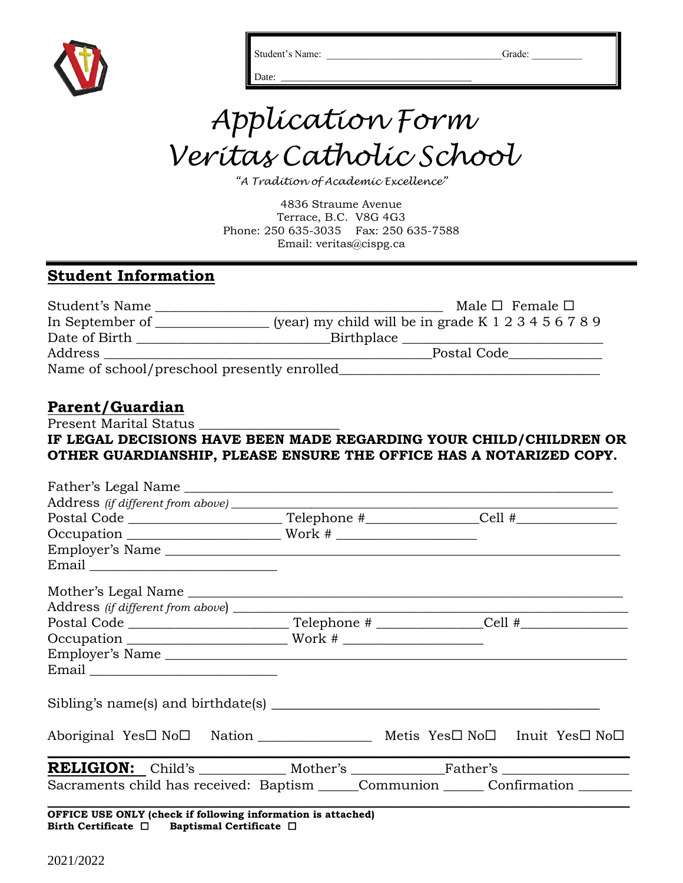

Student's Name: \_\_\_\_\_\_\_\_\_\_\_\_\_\_\_\_\_\_\_\_\_\_\_\_\_\_\_\_\_\_\_\_\_\_\_Grade: \_\_\_\_\_\_\_\_\_\_

# *Application Form Veritas Catholic School*

Date: \_\_\_\_\_\_\_\_\_\_\_\_\_\_\_\_\_\_\_\_\_\_\_\_\_\_\_\_\_\_\_\_\_\_\_\_\_\_

*"A Tradition of Academic Excellence"*

4836 Straume Avenue Terrace, B.C. V8G 4G3 Phone: 250 635-3035 Fax: 250 635-7588 Email: veritas@cispg.ca

# **Student Information**

| Student's Name                              | Male $\Box$ Female $\Box$                                      |
|---------------------------------------------|----------------------------------------------------------------|
| In September of                             | (year) my child will be in grade K $1\ 2\ 3\ 4\ 5\ 6\ 7\ 8\ 9$ |
| Date of Birth                               | Birthplace                                                     |
| Address                                     | Postal Code                                                    |
| Name of school/preschool presently enrolled |                                                                |

# **Parent/Guardian**

Present Marital Status

## **IF LEGAL DECISIONS HAVE BEEN MADE REGARDING YOUR CHILD/CHILDREN OR OTHER GUARDIANSHIP, PLEASE ENSURE THE OFFICE HAS A NOTARIZED COPY.**

| Father's Legal Name                                                                  |  |  |
|--------------------------------------------------------------------------------------|--|--|
|                                                                                      |  |  |
|                                                                                      |  |  |
|                                                                                      |  |  |
|                                                                                      |  |  |
|                                                                                      |  |  |
|                                                                                      |  |  |
|                                                                                      |  |  |
|                                                                                      |  |  |
|                                                                                      |  |  |
| Employer's Name                                                                      |  |  |
|                                                                                      |  |  |
|                                                                                      |  |  |
| Aboriginal Yes□ No□ Nation ______________________ Metis Yes□ No□ Inuit Yes□ No□      |  |  |
|                                                                                      |  |  |
| Sacraments child has received: Baptism ______Communion ________ Confirmation _______ |  |  |
| OFFICE USE ONLY (check if following information is attached)                         |  |  |

**Birth Certificate Baptismal Certificate**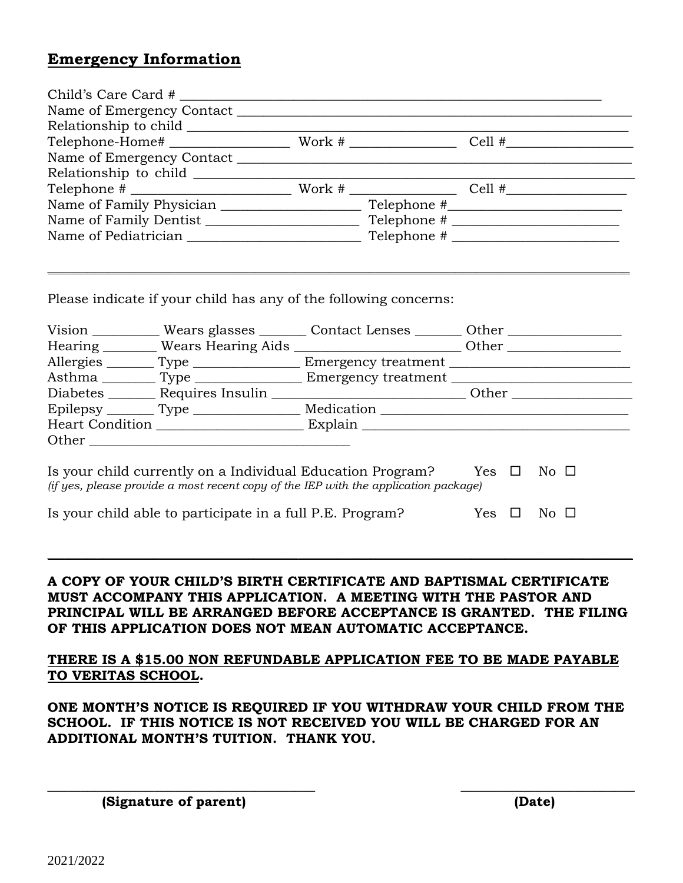## **Emergency Information**

| Telephone $\frac{1}{2}$ $\frac{1}{2}$ $\frac{1}{2}$ $\frac{1}{2}$ $\frac{1}{2}$ $\frac{1}{2}$ $\frac{1}{2}$ $\frac{1}{2}$ $\frac{1}{2}$ $\frac{1}{2}$ $\frac{1}{2}$ $\frac{1}{2}$ $\frac{1}{2}$ $\frac{1}{2}$ $\frac{1}{2}$ $\frac{1}{2}$ $\frac{1}{2}$ $\frac{1}{2}$ $\frac{1}{2}$ $\frac{1}{2}$ $\frac{1}{2}$ |  |               |                         |  |
|-----------------------------------------------------------------------------------------------------------------------------------------------------------------------------------------------------------------------------------------------------------------------------------------------------------------|--|---------------|-------------------------|--|
|                                                                                                                                                                                                                                                                                                                 |  |               |                         |  |
|                                                                                                                                                                                                                                                                                                                 |  |               |                         |  |
|                                                                                                                                                                                                                                                                                                                 |  |               |                         |  |
|                                                                                                                                                                                                                                                                                                                 |  |               |                         |  |
|                                                                                                                                                                                                                                                                                                                 |  |               |                         |  |
| Please indicate if your child has any of the following concerns:                                                                                                                                                                                                                                                |  |               |                         |  |
| Vision ___________ Wears glasses ________ Contact Lenses _______ Other __________                                                                                                                                                                                                                               |  |               |                         |  |
| Hearing _________ Wears Hearing Aids _______________________________ Other _________________________                                                                                                                                                                                                            |  |               |                         |  |
| Allergies ________ Type __________________ Emergency treatment __________________                                                                                                                                                                                                                               |  |               |                         |  |
| Asthma __________ Type ____________________ Emergency treatment _________________                                                                                                                                                                                                                               |  |               |                         |  |
| Diabetes _________ Requires Insulin _________________________________ Other ________________________                                                                                                                                                                                                            |  |               |                         |  |
|                                                                                                                                                                                                                                                                                                                 |  |               |                         |  |
|                                                                                                                                                                                                                                                                                                                 |  |               |                         |  |
|                                                                                                                                                                                                                                                                                                                 |  |               |                         |  |
|                                                                                                                                                                                                                                                                                                                 |  |               |                         |  |
| Is your child currently on a Individual Education Program?                                                                                                                                                                                                                                                      |  | Yes $\square$ | $\overline{N}$ o $\Box$ |  |
| (if yes, please provide a most recent copy of the IEP with the application package)                                                                                                                                                                                                                             |  |               |                         |  |
| Is your child able to participate in a full P.E. Program? $Yes \Box$                                                                                                                                                                                                                                            |  |               | $\rm No$ $\Box$         |  |
|                                                                                                                                                                                                                                                                                                                 |  |               |                         |  |
|                                                                                                                                                                                                                                                                                                                 |  |               |                         |  |
|                                                                                                                                                                                                                                                                                                                 |  |               |                         |  |

### **A COPY OF YOUR CHILD'S BIRTH CERTIFICATE AND BAPTISMAL CERTIFICATE MUST ACCOMPANY THIS APPLICATION. A MEETING WITH THE PASTOR AND PRINCIPAL WILL BE ARRANGED BEFORE ACCEPTANCE IS GRANTED. THE FILING OF THIS APPLICATION DOES NOT MEAN AUTOMATIC ACCEPTANCE.**

**THERE IS A \$15.00 NON REFUNDABLE APPLICATION FEE TO BE MADE PAYABLE TO VERITAS SCHOOL.**

**ONE MONTH'S NOTICE IS REQUIRED IF YOU WITHDRAW YOUR CHILD FROM THE SCHOOL. IF THIS NOTICE IS NOT RECEIVED YOU WILL BE CHARGED FOR AN ADDITIONAL MONTH'S TUITION. THANK YOU.**

**\_\_\_\_\_\_\_\_\_\_\_\_\_\_\_\_\_\_\_\_\_\_\_\_\_\_\_\_\_\_\_\_\_\_\_\_\_\_\_\_ \_\_\_\_\_\_\_\_\_\_\_\_\_\_\_\_\_\_\_\_\_\_\_\_\_\_** 

 **(Signature of parent) (Date)**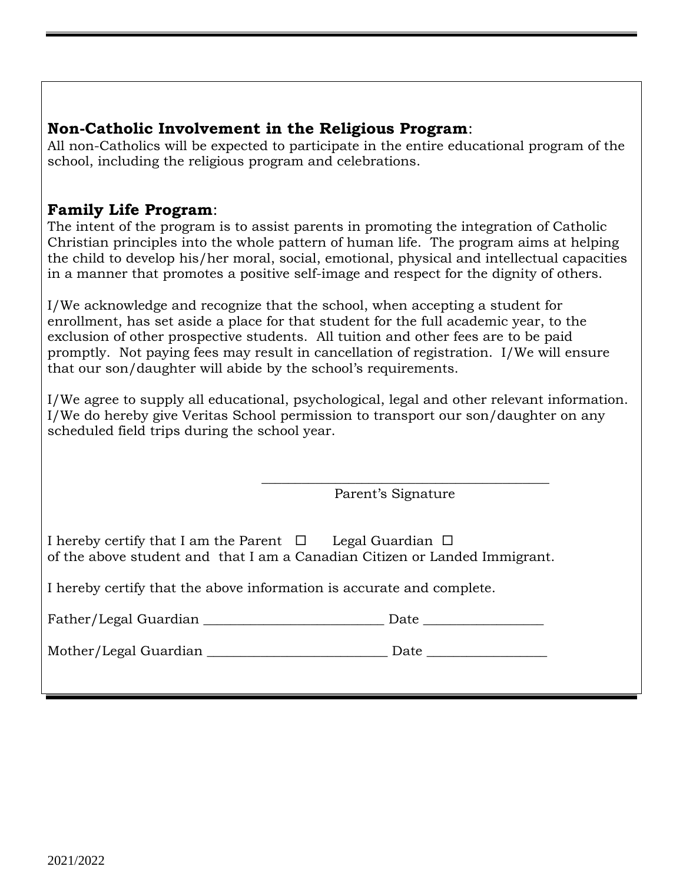# **Non-Catholic Involvement in the Religious Program**:

All non-Catholics will be expected to participate in the entire educational program of the school, including the religious program and celebrations.

# **Family Life Program**:

The intent of the program is to assist parents in promoting the integration of Catholic Christian principles into the whole pattern of human life. The program aims at helping the child to develop his/her moral, social, emotional, physical and intellectual capacities in a manner that promotes a positive self-image and respect for the dignity of others.

I/We acknowledge and recognize that the school, when accepting a student for enrollment, has set aside a place for that student for the full academic year, to the exclusion of other prospective students. All tuition and other fees are to be paid promptly. Not paying fees may result in cancellation of registration. I/We will ensure that our son/daughter will abide by the school's requirements.

I/We agree to supply all educational, psychological, legal and other relevant information. I/We do hereby give Veritas School permission to transport our son/daughter on any scheduled field trips during the school year.

Parent's Signature

| I hereby certify that I am the Parent $\Box$                               |  | Legal Guardian $\,\Box$ |  |
|----------------------------------------------------------------------------|--|-------------------------|--|
| of the above student and that I am a Canadian Citizen or Landed Immigrant. |  |                         |  |

 $\overline{\phantom{a}}$  , which is a set of the set of the set of the set of the set of the set of the set of the set of the set of the set of the set of the set of the set of the set of the set of the set of the set of the set of th

I hereby certify that the above information is accurate and complete.

| Father/Legal Guardian | Date |  |
|-----------------------|------|--|
|                       |      |  |

Mother/Legal Guardian \_\_\_\_\_\_\_\_\_\_\_\_\_\_\_\_\_\_\_\_\_\_\_\_\_\_\_ Date \_\_\_\_\_\_\_\_\_\_\_\_\_\_\_\_\_\_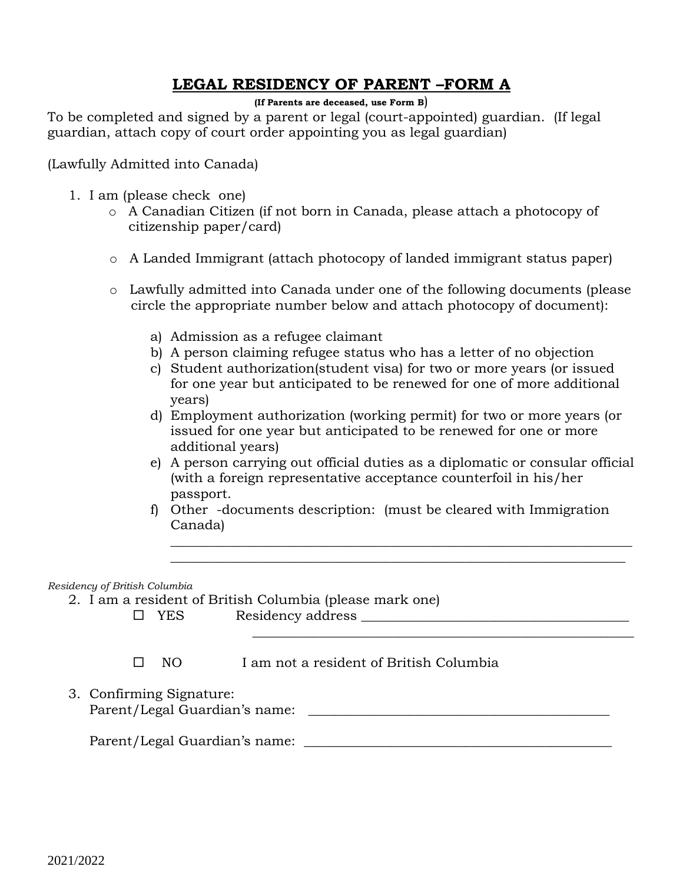# **LEGAL RESIDENCY OF PARENT –FORM A**

**(If Parents are deceased, use Form B**)

To be completed and signed by a parent or legal (court-appointed) guardian. (If legal guardian, attach copy of court order appointing you as legal guardian)

(Lawfully Admitted into Canada)

- 1. I am (please check one)
	- o A Canadian Citizen (if not born in Canada, please attach a photocopy of citizenship paper/card)
	- o A Landed Immigrant (attach photocopy of landed immigrant status paper)
	- o Lawfully admitted into Canada under one of the following documents (please circle the appropriate number below and attach photocopy of document):
		- a) Admission as a refugee claimant
		- b) A person claiming refugee status who has a letter of no objection
		- c) Student authorization(student visa) for two or more years (or issued for one year but anticipated to be renewed for one of more additional years)
		- d) Employment authorization (working permit) for two or more years (or issued for one year but anticipated to be renewed for one or more additional years)
		- e) A person carrying out official duties as a diplomatic or consular official (with a foreign representative acceptance counterfoil in his/her passport.

\_\_\_\_\_\_\_\_\_\_\_\_\_\_\_\_\_\_\_\_\_\_\_\_\_\_\_\_\_\_\_\_\_\_\_\_\_\_\_\_\_\_\_\_\_\_\_\_\_\_\_\_\_\_\_\_\_\_\_\_\_\_\_\_\_\_\_\_\_ \_\_\_\_\_\_\_\_\_\_\_\_\_\_\_\_\_\_\_\_\_\_\_\_\_\_\_\_\_\_\_\_\_\_\_\_\_\_\_\_\_\_\_\_\_\_\_\_\_\_\_\_\_\_\_\_\_\_\_\_\_\_\_\_\_\_\_\_

f) Other -documents description: (must be cleared with Immigration Canada)

*Residency of British Columbia*

- 2. I am a resident of British Columbia (please mark one)
	- $\square \quad \text{Yes} \qquad \qquad \text{Residency address} \qquad \qquad \qquad \text{Residency address}$

 $\Box$  NO I am not a resident of British Columbia

3. Confirming Signature: Parent/Legal Guardian's name: \_\_\_\_\_\_\_\_\_\_\_\_\_\_\_\_\_\_\_\_\_\_\_\_\_\_\_\_\_\_\_\_\_\_\_\_\_\_\_\_\_\_\_\_\_

 $\mathcal{L}_\text{max}$  and  $\mathcal{L}_\text{max}$  and  $\mathcal{L}_\text{max}$  and  $\mathcal{L}_\text{max}$  and  $\mathcal{L}_\text{max}$  and  $\mathcal{L}_\text{max}$ 

Parent/Legal Guardian's name: \_\_\_\_\_\_\_\_\_\_\_\_\_\_\_\_\_\_\_\_\_\_\_\_\_\_\_\_\_\_\_\_\_\_\_\_\_\_\_\_\_\_\_\_\_\_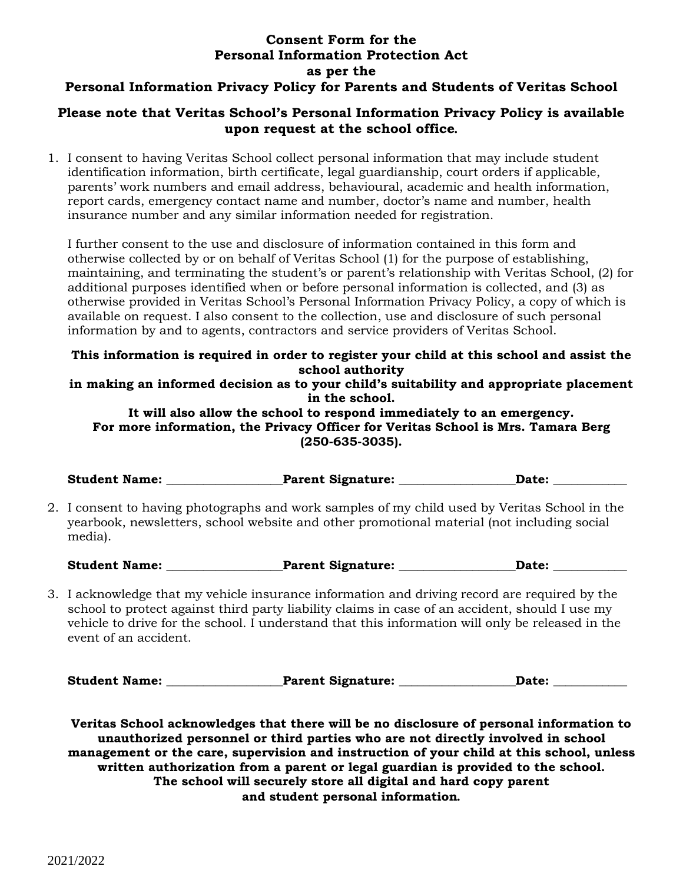## **Consent Form for the Personal Information Protection Act as per the Personal Information Privacy Policy for Parents and Students of Veritas School**

### **Please note that Veritas School's Personal Information Privacy Policy is available upon request at the school office***.*

1. I consent to having Veritas School collect personal information that may include student identification information, birth certificate, legal guardianship, court orders if applicable, parents' work numbers and email address, behavioural, academic and health information, report cards, emergency contact name and number, doctor's name and number, health insurance number and any similar information needed for registration.

I further consent to the use and disclosure of information contained in this form and otherwise collected by or on behalf of Veritas School (1) for the purpose of establishing, maintaining, and terminating the student's or parent's relationship with Veritas School, (2) for additional purposes identified when or before personal information is collected, and (3) as otherwise provided in Veritas School's Personal Information Privacy Policy, a copy of which is available on request. I also consent to the collection, use and disclosure of such personal information by and to agents, contractors and service providers of Veritas School.

### **This information is required in order to register your child at this school and assist the school authority**

**in making an informed decision as to your child's suitability and appropriate placement in the school.**

**It will also allow the school to respond immediately to an emergency. For more information, the Privacy Officer for Veritas School is Mrs. Tamara Berg (250-635-3035).**

Student Name: The Parent Signature: The Date: Date:

2. I consent to having photographs and work samples of my child used by Veritas School in the yearbook, newsletters, school website and other promotional material (not including social media).

Student Name: The Research Parent Signature: The Date: Date:

3. I acknowledge that my vehicle insurance information and driving record are required by the school to protect against third party liability claims in case of an accident, should I use my vehicle to drive for the school. I understand that this information will only be released in the event of an accident.

Student Name: \_\_\_\_\_\_\_\_\_\_\_\_\_\_\_\_\_\_Parent Signature: \_\_\_\_\_\_\_\_\_\_\_\_\_\_\_\_\_\_Date: \_\_\_\_\_\_\_\_

**Veritas School acknowledges that there will be no disclosure of personal information to unauthorized personnel or third parties who are not directly involved in school management or the care, supervision and instruction of your child at this school, unless written authorization from a parent or legal guardian is provided to the school. The school will securely store all digital and hard copy parent and student personal information***.*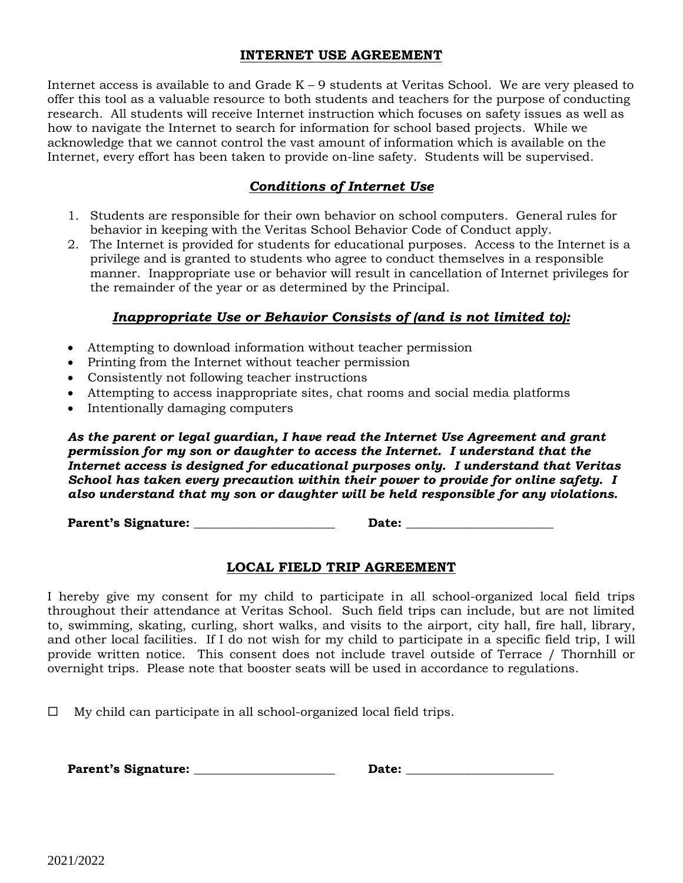#### **INTERNET USE AGREEMENT**

Internet access is available to and Grade  $K - 9$  students at Veritas School. We are very pleased to offer this tool as a valuable resource to both students and teachers for the purpose of conducting research. All students will receive Internet instruction which focuses on safety issues as well as how to navigate the Internet to search for information for school based projects. While we acknowledge that we cannot control the vast amount of information which is available on the Internet, every effort has been taken to provide on-line safety. Students will be supervised.

## *Conditions of Internet Use*

- 1. Students are responsible for their own behavior on school computers. General rules for behavior in keeping with the Veritas School Behavior Code of Conduct apply.
- 2. The Internet is provided for students for educational purposes. Access to the Internet is a privilege and is granted to students who agree to conduct themselves in a responsible manner. Inappropriate use or behavior will result in cancellation of Internet privileges for the remainder of the year or as determined by the Principal.

## *Inappropriate Use or Behavior Consists of (and is not limited to):*

- Attempting to download information without teacher permission
- Printing from the Internet without teacher permission
- Consistently not following teacher instructions
- Attempting to access inappropriate sites, chat rooms and social media platforms
- Intentionally damaging computers

*As the parent or legal guardian, I have read the Internet Use Agreement and grant permission for my son or daughter to access the Internet. I understand that the Internet access is designed for educational purposes only. I understand that Veritas School has taken every precaution within their power to provide for online safety. I also understand that my son or daughter will be held responsible for any violations.*

**Parent's Signature: \_\_\_\_\_\_\_\_\_\_\_\_\_\_\_\_\_\_\_\_\_\_\_ Date: \_\_\_\_\_\_\_\_\_\_\_\_\_\_\_\_\_\_\_\_\_\_\_\_**

## **LOCAL FIELD TRIP AGREEMENT**

I hereby give my consent for my child to participate in all school-organized local field trips throughout their attendance at Veritas School. Such field trips can include, but are not limited to, swimming, skating, curling, short walks, and visits to the airport, city hall, fire hall, library, and other local facilities. If I do not wish for my child to participate in a specific field trip, I will provide written notice. This consent does not include travel outside of Terrace / Thornhill or overnight trips. Please note that booster seats will be used in accordance to regulations.

 $\Box$  My child can participate in all school-organized local field trips.

**Parent's Signature: \_\_\_\_\_\_\_\_\_\_\_\_\_\_\_\_\_\_\_\_\_\_\_ Date: \_\_\_\_\_\_\_\_\_\_\_\_\_\_\_\_\_\_\_\_\_\_\_\_**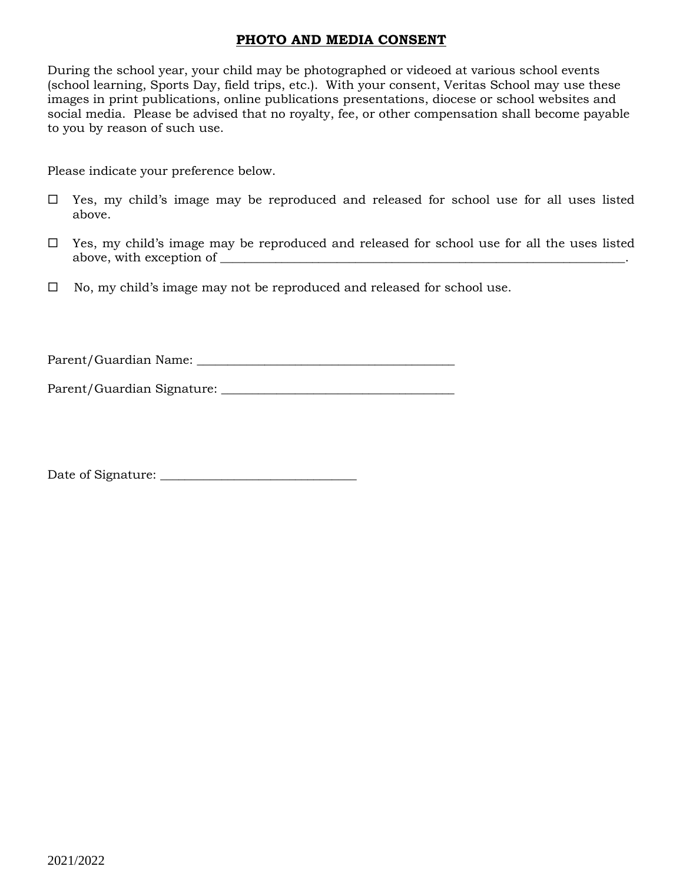### **PHOTO AND MEDIA CONSENT**

During the school year, your child may be photographed or videoed at various school events (school learning, Sports Day, field trips, etc.). With your consent, Veritas School may use these images in print publications, online publications presentations, diocese or school websites and social media. Please be advised that no royalty, fee, or other compensation shall become payable to you by reason of such use.

Please indicate your preference below.

- $\Box$  Yes, my child's image may be reproduced and released for school use for all uses listed above.
- $\Box$  Yes, my child's image may be reproduced and released for school use for all the uses listed above, with exception of \_\_\_\_\_\_\_\_\_\_\_\_\_\_\_\_\_\_\_\_\_\_\_\_\_\_\_\_\_\_\_\_\_\_\_\_\_\_\_\_\_\_\_\_\_\_\_\_\_\_\_\_\_\_\_\_\_\_\_\_\_\_\_\_\_\_.
- $\Box$  No, my child's image may not be reproduced and released for school use.

Parent/Guardian Name: \_\_\_\_\_\_\_\_\_\_\_\_\_\_\_\_\_\_\_\_\_\_\_\_\_\_\_\_\_\_\_\_\_\_\_\_\_\_\_\_\_\_

Parent/Guardian Signature: \_\_\_\_\_\_\_\_\_\_\_\_\_\_\_\_\_\_\_\_\_\_\_\_\_\_\_\_\_\_\_\_\_\_\_\_\_\_

Date of Signature: \_\_\_\_\_\_\_\_\_\_\_\_\_\_\_\_\_\_\_\_\_\_\_\_\_\_\_\_\_\_\_\_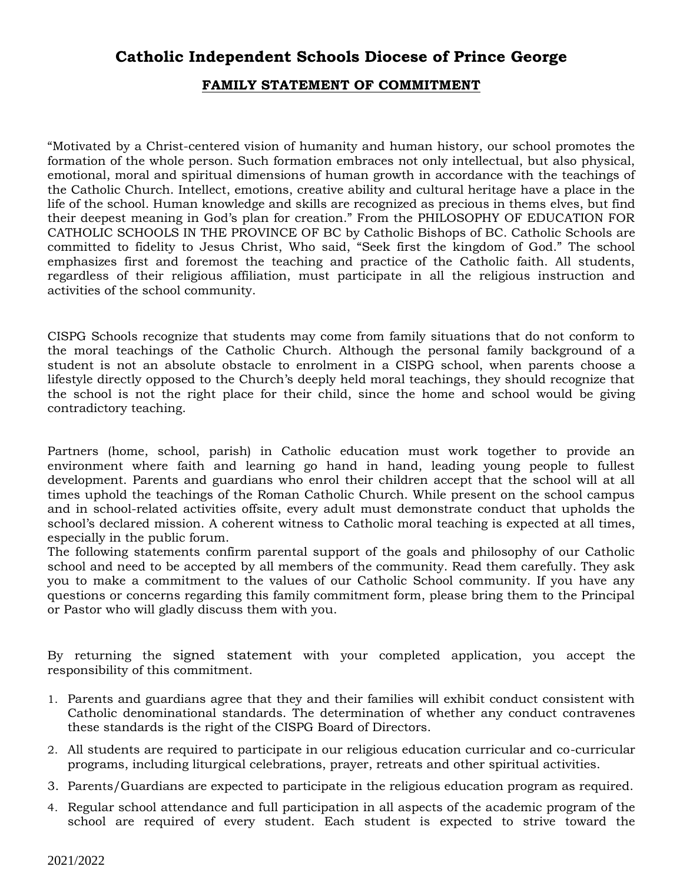## **Catholic Independent Schools Diocese of Prince George**

#### **FAMILY STATEMENT OF COMMITMENT**

"Motivated by a Christ-centered vision of humanity and human history, our school promotes the formation of the whole person. Such formation embraces not only intellectual, but also physical, emotional, moral and spiritual dimensions of human growth in accordance with the teachings of the Catholic Church. Intellect, emotions, creative ability and cultural heritage have a place in the life of the school. Human knowledge and skills are recognized as precious in thems elves, but find their deepest meaning in God's plan for creation." From the PHILOSOPHY OF EDUCATION FOR CATHOLIC SCHOOLS IN THE PROVINCE OF BC by Catholic Bishops of BC. Catholic Schools are committed to fidelity to Jesus Christ, Who said, "Seek first the kingdom of God." The school emphasizes first and foremost the teaching and practice of the Catholic faith. All students, regardless of their religious affiliation, must participate in all the religious instruction and activities of the school community.

CISPG Schools recognize that students may come from family situations that do not conform to the moral teachings of the Catholic Church. Although the personal family background of a student is not an absolute obstacle to enrolment in a CISPG school, when parents choose a lifestyle directly opposed to the Church's deeply held moral teachings, they should recognize that the school is not the right place for their child, since the home and school would be giving contradictory teaching.

Partners (home, school, parish) in Catholic education must work together to provide an environment where faith and learning go hand in hand, leading young people to fullest development. Parents and guardians who enrol their children accept that the school will at all times uphold the teachings of the Roman Catholic Church. While present on the school campus and in school-related activities offsite, every adult must demonstrate conduct that upholds the school's declared mission. A coherent witness to Catholic moral teaching is expected at all times, especially in the public forum.

The following statements confirm parental support of the goals and philosophy of our Catholic school and need to be accepted by all members of the community. Read them carefully. They ask you to make a commitment to the values of our Catholic School community. If you have any questions or concerns regarding this family commitment form, please bring them to the Principal or Pastor who will gladly discuss them with you.

By returning the signed statement with your completed application, you accept the responsibility of this commitment.

- 1. Parents and guardians agree that they and their families will exhibit conduct consistent with Catholic denominational standards. The determination of whether any conduct contravenes these standards is the right of the CISPG Board of Directors.
- 2. All students are required to participate in our religious education curricular and co-curricular programs, including liturgical celebrations, prayer, retreats and other spiritual activities.
- 3. Parents/Guardians are expected to participate in the religious education program as required.
- 4. Regular school attendance and full participation in all aspects of the academic program of the school are required of every student. Each student is expected to strive toward the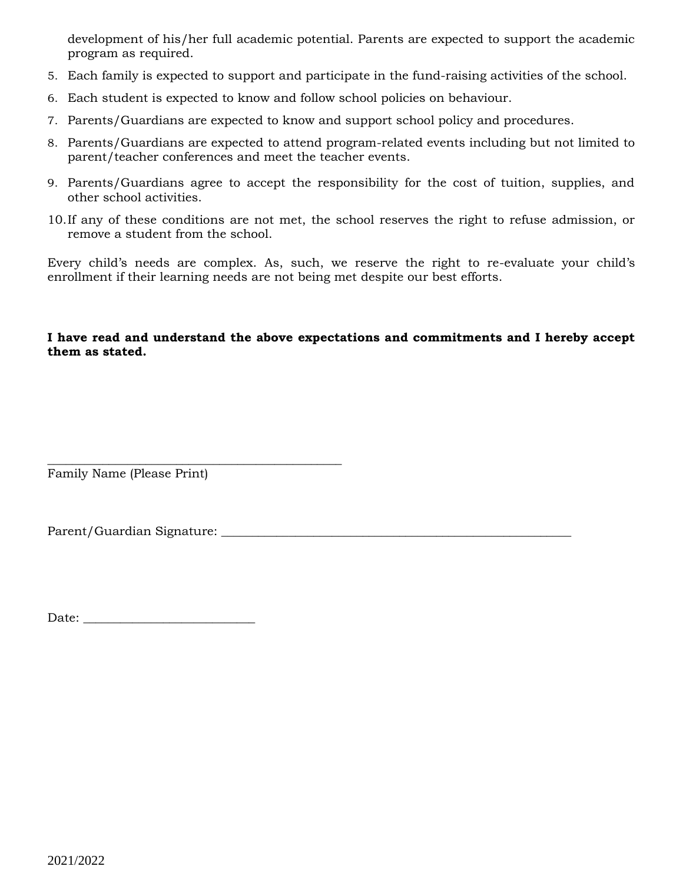development of his/her full academic potential. Parents are expected to support the academic program as required.

- 5. Each family is expected to support and participate in the fund-raising activities of the school.
- 6. Each student is expected to know and follow school policies on behaviour.
- 7. Parents/Guardians are expected to know and support school policy and procedures.
- 8. Parents/Guardians are expected to attend program-related events including but not limited to parent/teacher conferences and meet the teacher events.
- 9. Parents/Guardians agree to accept the responsibility for the cost of tuition, supplies, and other school activities.
- 10.If any of these conditions are not met, the school reserves the right to refuse admission, or remove a student from the school.

Every child's needs are complex. As, such, we reserve the right to re-evaluate your child's enrollment if their learning needs are not being met despite our best efforts.

#### **I have read and understand the above expectations and commitments and I hereby accept them as stated.**

Family Name (Please Print)

Parent/Guardian Signature: \_\_\_\_\_\_\_\_\_\_\_\_\_\_\_\_\_\_\_\_\_\_\_\_\_\_\_\_\_\_\_\_\_\_\_\_\_\_\_\_\_\_\_\_\_\_\_\_\_\_\_\_\_\_\_\_\_

Date: \_\_\_\_\_\_\_\_\_\_\_\_\_\_\_\_\_\_\_\_\_\_\_\_\_\_\_\_

\_\_\_\_\_\_\_\_\_\_\_\_\_\_\_\_\_\_\_\_\_\_\_\_\_\_\_\_\_\_\_\_\_\_\_\_\_\_\_\_\_\_\_\_\_\_\_\_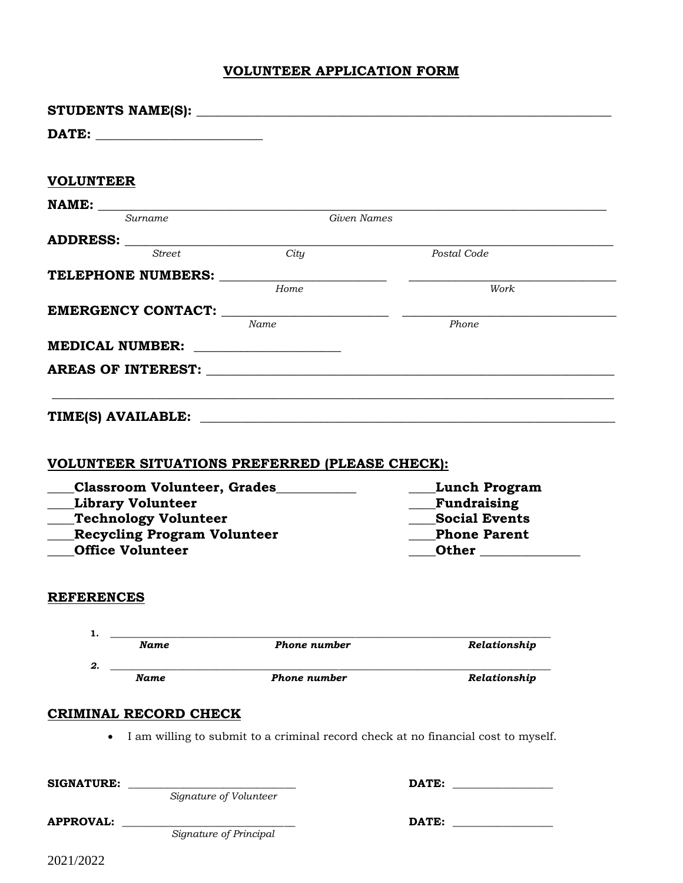## **VOLUNTEER APPLICATION FORM**

| <b>VOLUNTEER</b>                                                                                                  |                              |                                                                                   |                                                            |
|-------------------------------------------------------------------------------------------------------------------|------------------------------|-----------------------------------------------------------------------------------|------------------------------------------------------------|
|                                                                                                                   |                              |                                                                                   |                                                            |
|                                                                                                                   | Surname                      | Given Names                                                                       |                                                            |
|                                                                                                                   | <b>Street</b>                |                                                                                   |                                                            |
|                                                                                                                   |                              | City                                                                              | Postal Code                                                |
|                                                                                                                   |                              | Home                                                                              | <u> 1989 - Johann John Stone, mars et al.</u><br>Work      |
|                                                                                                                   |                              |                                                                                   |                                                            |
|                                                                                                                   |                              | Name                                                                              | Phone                                                      |
|                                                                                                                   |                              |                                                                                   |                                                            |
|                                                                                                                   |                              |                                                                                   |                                                            |
|                                                                                                                   |                              |                                                                                   |                                                            |
|                                                                                                                   |                              |                                                                                   |                                                            |
|                                                                                                                   |                              |                                                                                   |                                                            |
| <b>Library Volunteer</b><br>Technology Volunteer<br><b>Recycling Program Volunteer</b><br><b>Office Volunteer</b> |                              |                                                                                   | Fundraising<br><b>Social Events</b><br><b>Phone Parent</b> |
| <b>REFERENCES</b>                                                                                                 |                              |                                                                                   |                                                            |
| 1.                                                                                                                |                              |                                                                                   |                                                            |
|                                                                                                                   | <b>Name</b>                  | Phone number                                                                      | Relationship                                               |
| 2.                                                                                                                | <b>Name</b>                  | Phone number                                                                      | Relationship                                               |
|                                                                                                                   |                              |                                                                                   |                                                            |
|                                                                                                                   | <b>CRIMINAL RECORD CHECK</b> |                                                                                   |                                                            |
|                                                                                                                   |                              | I am willing to submit to a criminal record check at no financial cost to myself. |                                                            |
|                                                                                                                   |                              |                                                                                   |                                                            |
|                                                                                                                   |                              |                                                                                   |                                                            |
| <b>SIGNATURE:</b>                                                                                                 |                              | Signature of Volunteer                                                            |                                                            |
|                                                                                                                   |                              |                                                                                   |                                                            |
| <b>APPROVAL:</b>                                                                                                  |                              | Signature of Principal                                                            |                                                            |
|                                                                                                                   |                              |                                                                                   |                                                            |
|                                                                                                                   |                              |                                                                                   |                                                            |